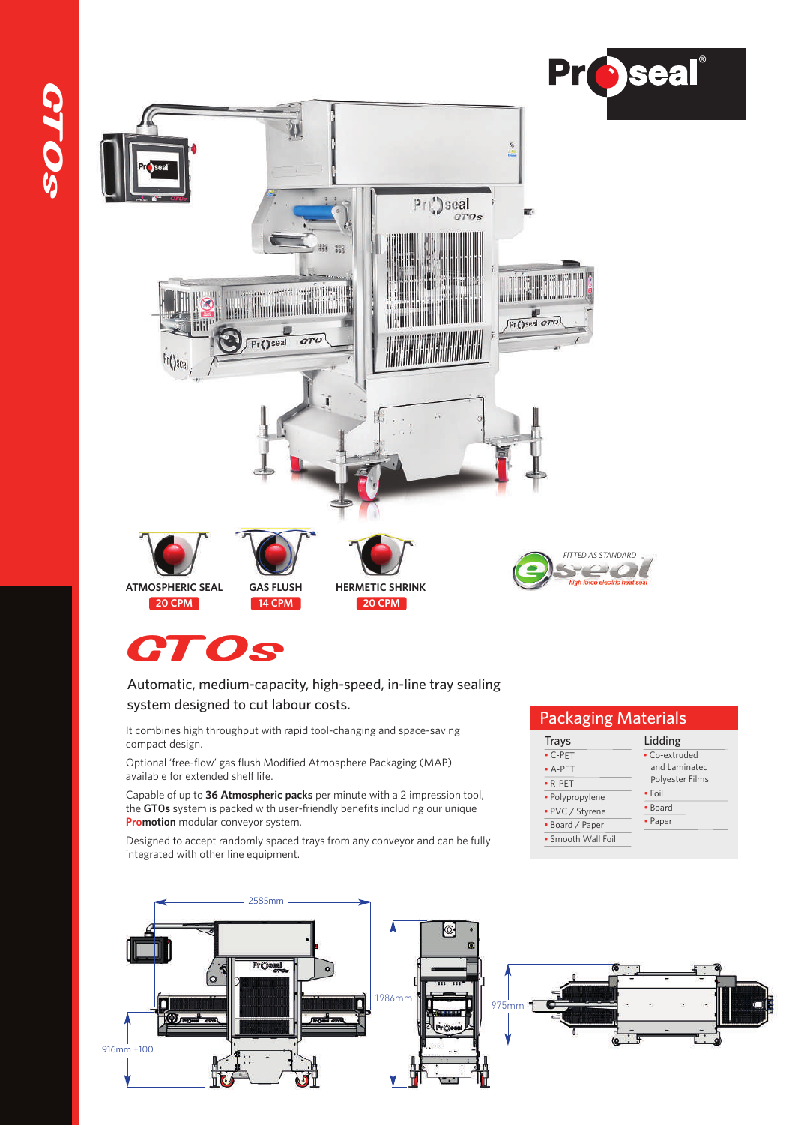

# GT0s

#### Automatic, medium-capacity, high-speed, in-line tray sealing system designed to cut labour costs.

It combines high throughput with rapid tool-changing and space-saving compact design.

Optional 'free-flow' gas flush Modified Atmosphere Packaging (MAP) available for extended shelf life.

Capable of up to **36 Atmospheric packs** per minute with a 2 impression tool, the **GT0s** system is packed with user-friendly benefits including our unique **Promotion** modular conveyor system.

Designed to accept randomly spaced trays from any conveyor and can be fully integrated with other line equipment.

## Packaging Materials

| Trays              | Lidding         |
|--------------------|-----------------|
| $\cdot$ C-PET      | · Co-extruded   |
| $-$ A-PET          | and Laminated   |
| $\bullet$ R-PET    | Polyester Films |
| · Polypropylene    | $•$ Foil        |
| • PVC / Styrene    | • Board         |
| • Board / Paper    | • Paper         |
| • Smooth Wall Foil |                 |